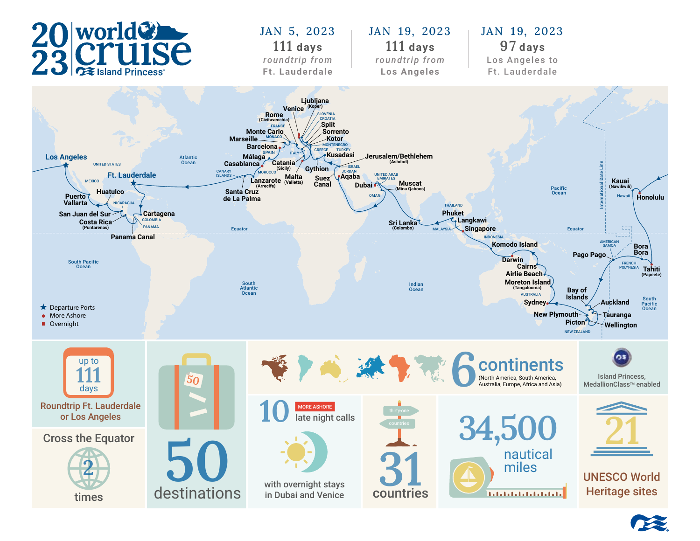